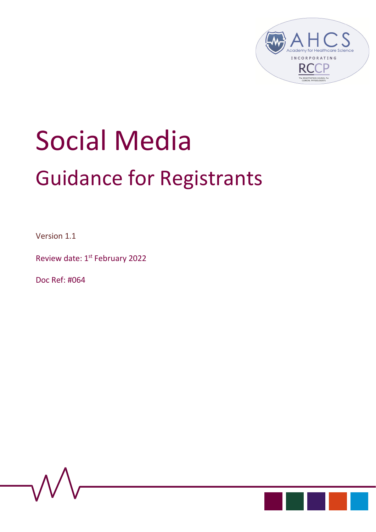

# Social Media Guidance for Registrants

Version 1.1

Review date: 1st February 2022

Doc Ref: #064



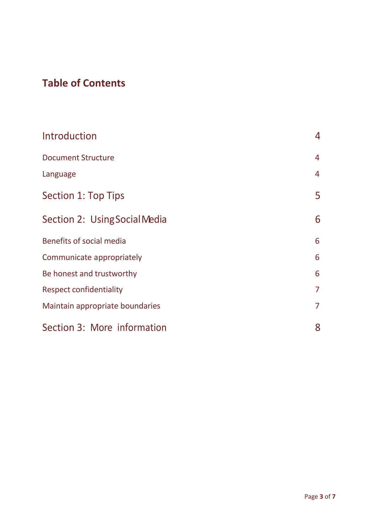# **Table of Contents**

| Introduction                    | 4              |
|---------------------------------|----------------|
| <b>Document Structure</b>       | $\overline{4}$ |
| Language                        | $\overline{4}$ |
| Section 1: Top Tips             | 5              |
| Section 2: Using Social Media   | 6              |
| Benefits of social media        | 6              |
| Communicate appropriately       | 6              |
| Be honest and trustworthy       | 6              |
| <b>Respect confidentiality</b>  | $\overline{7}$ |
| Maintain appropriate boundaries | $\overline{7}$ |
| Section 3: More information     | 8              |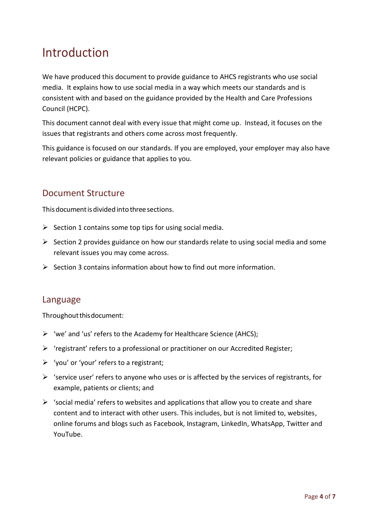# <span id="page-2-0"></span>Introduction

We have produced this document to provide guidance to AHCS registrants who use social media. It explains how to use social media in a way which meets our standards and is consistent with and based on the guidance provided by the Health and Care Professions Council (HCPC).

This document cannot deal with every issue that might come up. Instead, it focuses on the issues that registrants and others come across most frequently.

This guidance is focused on our standards. If you are employed, your employer may also have relevant policies or guidance that applies to you.

## <span id="page-2-1"></span>Document Structure

This document is divided into three sections.

- $\triangleright$  Section 1 contains some top tips for using social media.
- ➢ Section 2 provides guidance on how our standards relate to using social media and some relevant issues you may come across.
- $\triangleright$  Section 3 contains information about how to find out more information.

#### <span id="page-2-2"></span>Language

Throughoutthisdocument:

- ➢ 'we' and 'us' refers to the Academy for Healthcare Science (AHCS);
- ➢ 'registrant' refers to a professional or practitioner on our Accredited Register;
- ➢ 'you' or 'your' refers to a registrant;
- $\triangleright$  'service user' refers to anyone who uses or is affected by the services of registrants, for example, patients or clients; and
- $\triangleright$  'social media' refers to websites and applications that allow you to create and share content and to interact with other users. This includes, but is not limited to, websites, online forums and blogs such as Facebook, Instagram, LinkedIn, WhatsApp, Twitter and YouTube.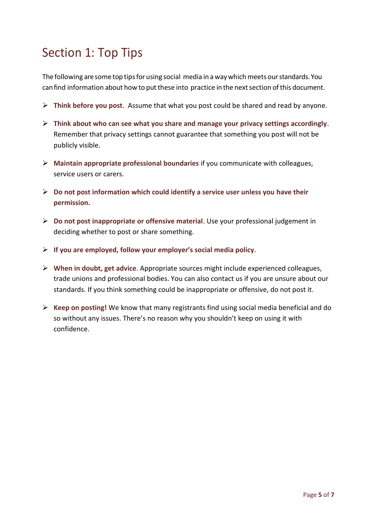# <span id="page-3-0"></span>Section 1: Top Tips

The following are some top tips for using social media in a way which meets our standards. You can find information about how to put these into practice in the next section of this document.

- ➢ **Think before you post**. Assume that what you post could be shared and read by anyone.
- ➢ **Think about who can see what you share and manage your privacy settings accordingly**. Remember that privacy settings cannot guarantee that something you post will not be publicly visible.
- ➢ **Maintain appropriate professional boundaries** if you communicate with colleagues, service users or carers.
- ➢ **Do not post information which could identify a service user unless you have their permission.**
- ➢ **Do not post inappropriate or offensive material**. Use your professional judgement in deciding whether to post or share something.
- ➢ **If you are employed, follow your employer's social media policy**.
- ➢ **When in doubt, get advice**. Appropriate sources might include experienced colleagues, trade unions and professional bodies. You can also contact us if you are unsure about our standards. If you think something could be inappropriate or offensive, do not post it.
- ➢ **Keep on posting!** We know that many registrants find using social media beneficial and do so without any issues. There's no reason why you shouldn't keep on using it with confidence.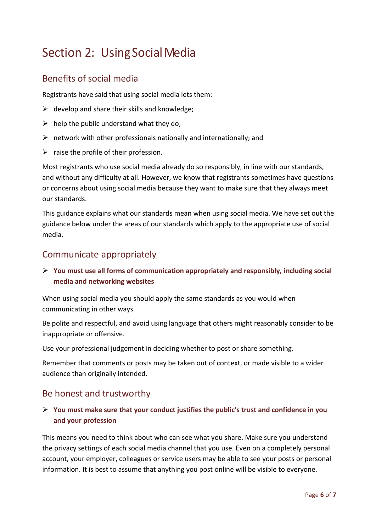# <span id="page-4-0"></span>Section 2: Using Social Media

## <span id="page-4-1"></span>Benefits of social media

Registrants have said that using social media lets them:

- $\triangleright$  develop and share their skills and knowledge;
- $\triangleright$  help the public understand what they do;
- $\triangleright$  network with other professionals nationally and internationally; and
- $\triangleright$  raise the profile of their profession.

Most registrants who use social media already do so responsibly, in line with our standards, and without any difficulty at all. However, we know that registrants sometimes have questions or concerns about using social media because they want to make sure that they always meet our standards.

This guidance explains what our standards mean when using social media. We have set out the guidance below under the areas of our standards which apply to the appropriate use of social media.

### <span id="page-4-2"></span>Communicate appropriately

#### ➢ **You must use all forms of communication appropriately and responsibly, including social media and networking websites**

When using social media you should apply the same standards as you would when communicating in other ways.

Be polite and respectful, and avoid using language that others might reasonably consider to be inappropriate or offensive.

Use your professional judgement in deciding whether to post or share something.

Remember that comments or posts may be taken out of context, or made visible to a wider audience than originally intended.

## <span id="page-4-3"></span>Be honest and trustworthy

#### ➢ **You must make sure that your conduct justifies the public's trust and confidence in you and your profession**

This means you need to think about who can see what you share. Make sure you understand the privacy settings of each social media channel that you use. Even on a completely personal account, your employer, colleagues or service users may be able to see your posts or personal information. It is best to assume that anything you post online will be visible to everyone.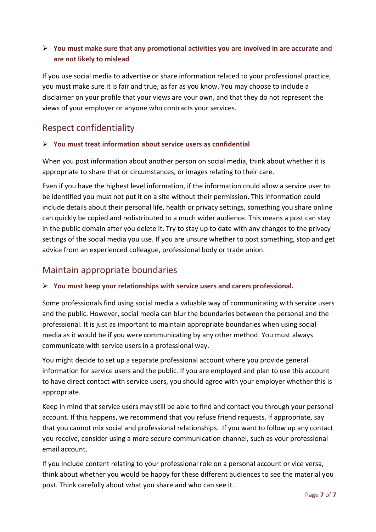#### ➢ **You must make sure that any promotional activities you are involved in are accurate and are not likely to mislead**

If you use social media to advertise or share information related to your professional practice, you must make sure it is fair and true, as far as you know. You may choose to include a disclaimer on your profile that your views are your own, and that they do not represent the views of your employer or anyone who contracts your services.

## <span id="page-5-0"></span>Respect confidentiality

#### ➢ **You must treat information about service users as confidential**

When you post information about another person on social media, think about whether it is appropriate to share that or circumstances, or images relating to their care.

Even if you have the highest level information, if the information could allow a service user to be identified you must not put it on a site without their permission. This information could include details about their personal life, health or privacy settings, something you share online can quickly be copied and redistributed to a much wider audience. This means a post can stay in the public domain after you delete it. Try to stay up to date with any changes to the privacy settings of the social media you use. If you are unsure whether to post something, stop and get advice from an experienced colleague, professional body or trade union.

## <span id="page-5-1"></span>Maintain appropriate boundaries

#### ➢ **You must keep your relationships with service users and carers professional.**

Some professionals find using social media a valuable way of communicating with service users and the public. However, social media can blur the boundaries between the personal and the professional. It is just as important to maintain appropriate boundaries when using social media as it would be if you were communicating by any other method. You must always communicate with service users in a professional way.

You might decide to set up a separate professional account where you provide general information for service users and the public. If you are employed and plan to use this account to have direct contact with service users, you should agree with your employer whether this is appropriate.

Keep in mind that service users may still be able to find and contact you through your personal account. If this happens, we recommend that you refuse friend requests. If appropriate, say that you cannot mix social and professional relationships. If you want to follow up any contact you receive, consider using a more secure communication channel, such as your professional email account.

If you include content relating to your professional role on a personal account or vice versa, think about whether you would be happy for these different audiences to see the material you post. Think carefully about what you share and who can see it.